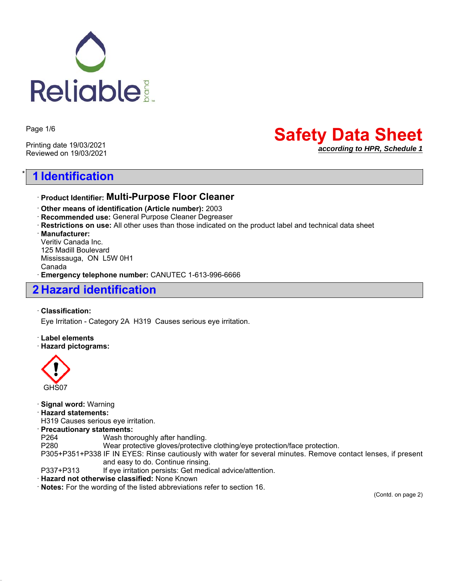

Page 1/6

Printing date 19/03/2021 Reviewed on 19/03/2021

# **Safety Data Sheet** *according to HPR, Schedule 1*

# \* **1 Identification**

### ꞏ **Product Identifier: Multi-Purpose Floor Cleaner**

ꞏ **Other means of identification (Article number):** 2003

- ꞏ **Recommended use:** General Purpose Cleaner Degreaser
- ꞏ **Restrictions on use:** All other uses than those indicated on the product label and technical data sheet

ꞏ **Manufacturer:**

Veritiv Canada Inc. 125 Madill Boulevard Mississauga, ON L5W 0H1 Canada ꞏ **Emergency telephone number:** CANUTEC 1-613-996-6666

## **2 Hazard identification**

#### ꞏ **Classification:**

Eye Irritation - Category 2A H319 Causes serious eye irritation.

ꞏ **Label elements**

#### ꞏ **Hazard pictograms:**



| · Signal word: Warning                                                                                        |                                                                            |  |
|---------------------------------------------------------------------------------------------------------------|----------------------------------------------------------------------------|--|
| · Hazard statements:                                                                                          |                                                                            |  |
| H319 Causes serious eye irritation.                                                                           |                                                                            |  |
| · Precautionary statements:                                                                                   |                                                                            |  |
| P <sub>264</sub>                                                                                              | Wash thoroughly after handling.                                            |  |
| P <sub>280</sub>                                                                                              | Wear protective gloves/protective clothing/eye protection/face protection. |  |
| P305+P351+P338 IF IN EYES: Rinse cautiously with water for several minutes. Remove contact lenses, if present |                                                                            |  |
|                                                                                                               | and easy to do. Continue rinsing.                                          |  |
| P337+P313                                                                                                     | If eye irritation persists: Get medical advice/attention.                  |  |
| Hazard not otherwise classified: None Known                                                                   |                                                                            |  |
| Notes: For the wording of the listed abbreviations refer to section 16.                                       |                                                                            |  |

(Contd. on page 2)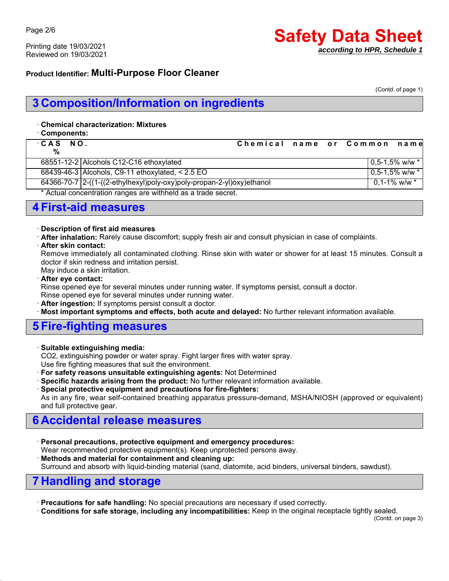Printing date 19/03/2021 Reviewed on 19/03/2021

# **Safety Data Sheet** *according to HPR, Schedule 1*

### **Product Identifier: Multi-Purpose Floor Cleaner**

(Contd. of page 1)

# **3 Composition/Information on ingredients**

#### ꞏ **Chemical characterization: Mixtures**

ꞏ **Components:**

| CAS NO. |                                                                       | Chemical name or Common name |  |                     |                       |
|---------|-----------------------------------------------------------------------|------------------------------|--|---------------------|-----------------------|
| %       |                                                                       |                              |  |                     |                       |
|         | 68551-12-2 Alcohols C12-C16 ethoxylated                               |                              |  |                     | $0.5 - 1.5\%$ w/w $*$ |
|         | $68439-46-3$ Alcohols, C9-11 ethoxylated, < 2.5 EO                    |                              |  |                     | $0.5 - 1.5\%$ w/w $*$ |
|         | 64366-70-7 2-((1-((2-ethylhexyl)poly-oxy)poly-propan-2-yl)oxy)ethanol |                              |  | $0.1 - 1\%$ w/w $*$ |                       |
|         | $\star$ A stual concentration repares or withhold on a trade const    |                              |  |                     |                       |

Actual concentration ranges are withheld as a trade secret.

## **4 First-aid measures**

#### ꞏ **Description of first aid measures**

- ꞏ **After inhalation:** Rarely cause discomfort; supply fresh air and consult physician in case of complaints.
- ꞏ **After skin contact:**

Remove immediately all contaminated clothing. Rinse skin with water or shower for at least 15 minutes. Consult a doctor if skin redness and irritation persist.

May induce a skin irritation.

ꞏ **After eye contact:**

Rinse opened eye for several minutes under running water. If symptoms persist, consult a doctor. Rinse opened eye for several minutes under running water.

ꞏ **After ingestion:** If symptoms persist consult a doctor.

Most important symptoms and effects, both acute and delayed: No further relevant information available.

## **5 Fire-fighting measures**

#### ꞏ **Suitable extinguishing media:**

CO2, extinguishing powder or water spray. Fight larger fires with water spray.

Use fire fighting measures that suit the environment.

- ꞏ **For safety reasons unsuitable extinguishing agents:** Not Determined
- ꞏ **Specific hazards arising from the product:** No further relevant information available.
- ꞏ **Special protective equipment and precautions for fire-fighters:**

As in any fire, wear self-contained breathing apparatus pressure-demand, MSHA/NIOSH (approved or equivalent) and full protective gear.

# **6 Accidental release measures**

ꞏ **Personal precautions, protective equipment and emergency procedures:**

Wear recommended protective equipment(s). Keep unprotected persons away.

ꞏ **Methods and material for containment and cleaning up:**

Surround and absorb with liquid-binding material (sand, diatomite, acid binders, universal binders, sawdust).

## **7 Handling and storage**

ꞏ **Precautions for safe handling:** No special precautions are necessary if used correctly.

ꞏ **Conditions for safe storage, including any incompatibilities:** Keep in the original receptacle tightly sealed.

(Contd. on page 3)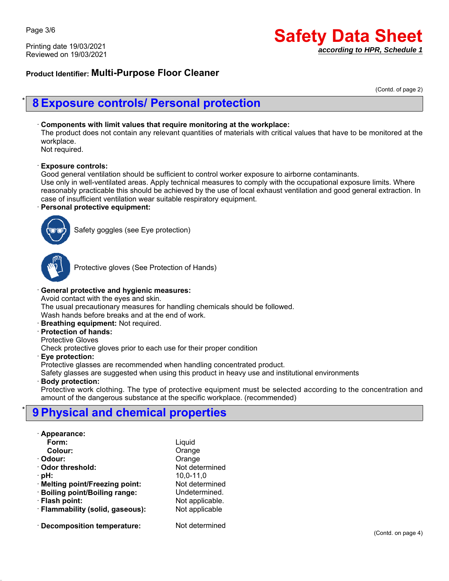Printing date 19/03/2021 Reviewed on 19/03/2021

# **Safety Data Sheet** *according to HPR, Schedule 1*

### **Product Identifier: Multi-Purpose Floor Cleaner**

(Contd. of page 2)

## \* **8 Exposure controls/ Personal protection**

#### ꞏ **Components with limit values that require monitoring at the workplace:**

The product does not contain any relevant quantities of materials with critical values that have to be monitored at the workplace.

Not required.

#### ꞏ **Exposure controls:**

Good general ventilation should be sufficient to control worker exposure to airborne contaminants.

Use only in well-ventilated areas. Apply technical measures to comply with the occupational exposure limits. Where reasonably practicable this should be achieved by the use of local exhaust ventilation and good general extraction. In case of insufficient ventilation wear suitable respiratory equipment.

#### ꞏ **Personal protective equipment:**



Safety goggles (see Eye protection)



Protective gloves (See Protection of Hands)

### ꞏ **General protective and hygienic measures:**

Avoid contact with the eyes and skin.

The usual precautionary measures for handling chemicals should be followed.

Wash hands before breaks and at the end of work.

ꞏ **Breathing equipment:** Not required.

#### ꞏ **Protection of hands:**

Protective Gloves

Check protective gloves prior to each use for their proper condition

ꞏ **Eye protection:**

Protective glasses are recommended when handling concentrated product.

Safety glasses are suggested when using this product in heavy use and institutional environments

#### ꞏ **Body protection:**

Protective work clothing. The type of protective equipment must be selected according to the concentration and amount of the dangerous substance at the specific workplace. (recommended)

# \* **9 Physical and chemical properties**

#### ꞏ **Appearance:**

| ∩rm∶ |  |
|------|--|
|      |  |

| Colour:                          | Orange      |
|----------------------------------|-------------|
| · Odour:                         | Orange      |
| Odor threshold:                  | Not deter   |
| · pH:                            | $10,0-11,0$ |
| · Melting point/Freezing point:  | Not deter   |
| · Boiling point/Boiling range:   | Undeterm    |
| · Flash point:                   | Not applic  |
| · Flammability (solid, gaseous): | Not applio  |
|                                  |             |

ꞏ **Decomposition temperature:** Not determined

**Form:** Liquid determined determined etermined. applicable. ꞏ **Flammability (solid, gaseous):** Not applicable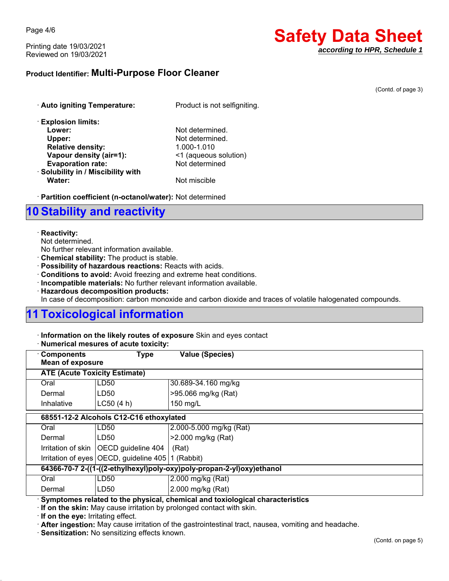Page 4/6

Printing date 19/03/2021 Reviewed on 19/03/2021

# **Safety Data Sheet** *according to HPR, Schedule 1*

## **Product Identifier: Multi-Purpose Floor Cleaner**

(Contd. of page 3)

| · Auto igniting Temperature:       | Product is not selfigniting. |
|------------------------------------|------------------------------|
| <b>Explosion limits:</b>           |                              |
| Lower:                             | Not determined.              |
| Upper:                             | Not determined.              |
| <b>Relative density:</b>           | 1.000-1.010                  |
| Vapour density (air=1):            | <1 (aqueous solution)        |
| <b>Evaporation rate:</b>           | Not determined               |
| · Solubility in / Miscibility with |                              |
| Water:                             | Not miscible                 |

ꞏ **Partition coefficient (n-octanol/water):** Not determined

# **10 Stability and reactivity**

#### ꞏ **Reactivity:**

Not determined.

No further relevant information available.

- ꞏ **Chemical stability:** The product is stable.
- ꞏ **Possibility of hazardous reactions:** Reacts with acids.
- ꞏ **Conditions to avoid:** Avoid freezing and extreme heat conditions.
- ꞏ **Incompatible materials:** No further relevant information available.
- ꞏ **Hazardous decomposition products:**

In case of decomposition: carbon monoxide and carbon dioxide and traces of volatile halogenated compounds.

# **11 Toxicological information**

ꞏ **Information on the likely routes of exposure** Skin and eyes contact

#### ꞏ **Numerical mesures of acute toxicity:**

| <b>Components</b>                                                     | <b>Type</b>                                         | <b>Value (Species)</b>      |
|-----------------------------------------------------------------------|-----------------------------------------------------|-----------------------------|
| <b>Mean of exposure</b>                                               |                                                     |                             |
| <b>ATE (Acute Toxicity Estimate)</b>                                  |                                                     |                             |
| Oral                                                                  | LD50                                                | 30.689-34.160 mg/kg         |
| Dermal                                                                | LD50                                                | >95.066 mg/kg (Rat)         |
| Inhalative                                                            | LC50(4 h)                                           | 150 mg/L                    |
|                                                                       | 68551-12-2 Alcohols C12-C16 ethoxylated             |                             |
| Oral                                                                  | LD50                                                | 2.000-5.000 mg/kg (Rat)     |
| Dermal                                                                | LD50                                                | >2.000 mg/kg (Rat)          |
|                                                                       | Irritation of skin   OECD guideline 404             | (Rat)                       |
|                                                                       | Irritation of eyes OECD, guideline 405   1 (Rabbit) |                             |
| 64366-70-7 2-((1-((2-ethylhexyl)poly-oxy)poly-propan-2-yl)oxy)ethanol |                                                     |                             |
| Oral                                                                  | LD50                                                | 2.000 mg/kg (Rat)           |
| Dermal                                                                | LD <sub>50</sub>                                    | 2.000 mg/kg (Rat)<br>.<br>. |

ꞏ **Symptomes related to the physical, chemical and toxiological characteristics**

ꞏ **If on the skin:** May cause irritation by prolonged contact with skin.

ꞏ **If on the eye:** Irritating effect.

ꞏ **After ingestion:** May cause irritation of the gastrointestinal tract, nausea, vomiting and headache.

ꞏ **Sensitization:** No sensitizing effects known.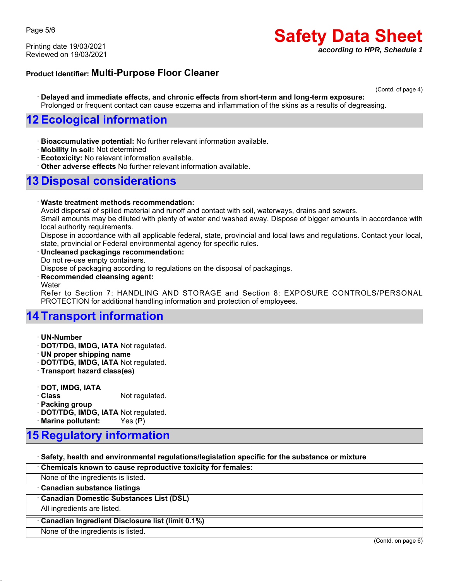Printing date 19/03/2021 Reviewed on 19/03/2021

# **Safety Data Sheet** *according to HPR, Schedule 1*

### **Product Identifier: Multi-Purpose Floor Cleaner**

(Contd. of page 4)

ꞏ **Delayed and immediate effects, and chronic effects from short-term and long-term exposure:** Prolonged or frequent contact can cause eczema and inflammation of the skins as a results of degreasing.

## **12 Ecological information**

- ꞏ **Bioaccumulative potential:** No further relevant information available.
- ꞏ **Mobility in soil:** Not determined
- ꞏ **Ecotoxicity:** No relevant information available.
- ꞏ **Other adverse effects** No further relevant information available.

# **13 Disposal considerations**

#### ꞏ **Waste treatment methods recommendation:**

Avoid dispersal of spilled material and runoff and contact with soil, waterways, drains and sewers.

Small amounts may be diluted with plenty of water and washed away. Dispose of bigger amounts in accordance with local authority requirements.

Dispose in accordance with all applicable federal, state, provincial and local laws and regulations. Contact your local, state, provincial or Federal environmental agency for specific rules.

#### ꞏ **Uncleaned packagings recommendation:**

Do not re-use empty containers.

Dispose of packaging according to regulations on the disposal of packagings.

#### ꞏ **Recommended cleansing agent:**

**Water** 

Refer to Section 7: HANDLING AND STORAGE and Section 8: EXPOSURE CONTROLS/PERSONAL PROTECTION for additional handling information and protection of employees.

## **14 Transport information**

- ꞏ **UN-Number**
- ꞏ **DOT/TDG, IMDG, IATA** Not regulated.
- ꞏ **UN proper shipping name**
- ꞏ **DOT/TDG, IMDG, IATA** Not regulated.
- ꞏ **Transport hazard class(es)**
- ꞏ **DOT, IMDG, IATA**
- **Class** Not regulated.
- ꞏ **Packing group**
- ꞏ **DOT/TDG, IMDG, IATA** Not regulated.

ꞏ **Marine pollutant:** Yes (P)

# **15 Regulatory information**

ꞏ **Safety, health and environmental regulations/legislation specific for the substance or mixture**

| Chemicals known to cause reproductive toxicity for females: |                    |
|-------------------------------------------------------------|--------------------|
| None of the ingredients is listed.                          |                    |
| · Canadian substance listings                               |                    |
| <b>Canadian Domestic Substances List (DSL)</b>              |                    |
| All ingredients are listed.                                 |                    |
| Canadian Ingredient Disclosure list (limit 0.1%)            |                    |
| None of the ingredients is listed.                          |                    |
|                                                             | (Contd. on page 6) |